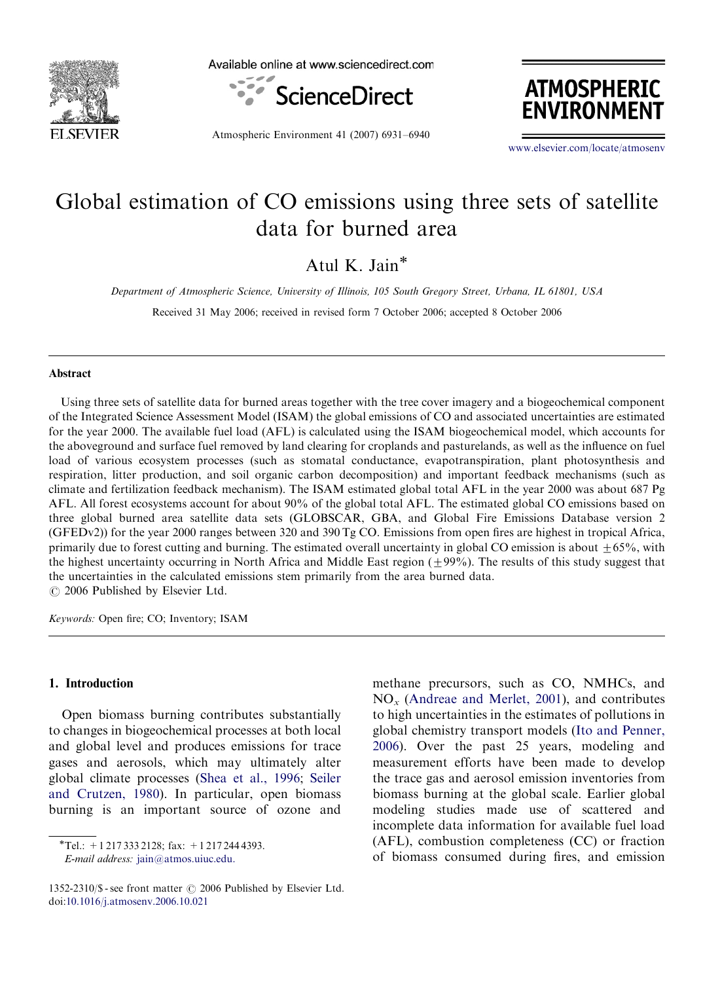

Available online at www.sciencedirect.com



Atmospheric Environment 41 (2007) 6931–6940



<www.elsevier.com/locate/atmosenv>

# Global estimation of CO emissions using three sets of satellite data for burned area

Atul K. Jain<sup>\*</sup>

Department of Atmospheric Science, University of Illinois, 105 South Gregory Street, Urbana, IL 61801, USA

Received 31 May 2006; received in revised form 7 October 2006; accepted 8 October 2006

### Abstract

Using three sets of satellite data for burned areas together with the tree cover imagery and a biogeochemical component of the Integrated Science Assessment Model (ISAM) the global emissions of CO and associated uncertainties are estimated for the year 2000. The available fuel load (AFL) is calculated using the ISAM biogeochemical model, which accounts for the aboveground and surface fuel removed by land clearing for croplands and pasturelands, as well as the influence on fuel load of various ecosystem processes (such as stomatal conductance, evapotranspiration, plant photosynthesis and respiration, litter production, and soil organic carbon decomposition) and important feedback mechanisms (such as climate and fertilization feedback mechanism). The ISAM estimated global total AFL in the year 2000 was about 687 Pg AFL. All forest ecosystems account for about 90% of the global total AFL. The estimated global CO emissions based on three global burned area satellite data sets (GLOBSCAR, GBA, and Global Fire Emissions Database version 2 (GFEDv2)) for the year 2000 ranges between 320 and 390 Tg CO. Emissions from open fires are highest in tropical Africa, primarily due to forest cutting and burning. The estimated overall uncertainty in global CO emission is about  $\pm 65$ %, with the highest uncertainty occurring in North Africa and Middle East region  $(\pm 99\%)$ . The results of this study suggest that the uncertainties in the calculated emissions stem primarily from the area burned data.  $C$  2006 Published by Elsevier Ltd.

Keywords: Open fire; CO; Inventory; ISAM

## 1. Introduction

Open biomass burning contributes substantially to changes in biogeochemical processes at both local and global level and produces emissions for trace gases and aerosols, which may ultimately alter global climate processes [\(Shea et al., 1996;](#page-8-0) [Seiler](#page-8-0) [and Crutzen, 1980\)](#page-8-0). In particular, open biomass burning is an important source of ozone and

 $\overline{\text{F} \text{Tel}}$ : +1 217 333 2128; fax: +1 217 244 4393.

E-mail address: [jain@atmos.uiuc.edu.](mailto:jain@atmos.uiuc.edu)

methane precursors, such as CO, NMHCs, and  $NO<sub>x</sub>$  [\(Andreae and Merlet, 2001](#page-7-0)), and contributes to high uncertainties in the estimates of pollutions in global chemistry transport models ([Ito and Penner,](#page-8-0) [2006\)](#page-8-0). Over the past 25 years, modeling and measurement efforts have been made to develop the trace gas and aerosol emission inventories from biomass burning at the global scale. Earlier global modeling studies made use of scattered and incomplete data information for available fuel load (AFL), combustion completeness (CC) or fraction of biomass consumed during fires, and emission

<sup>1352-2310/\$ -</sup> see front matter  $\odot$  2006 Published by Elsevier Ltd. doi:[10.1016/j.atmosenv.2006.10.021](dx.doi.org/10.1016/j.atmosenv.2006.10.021)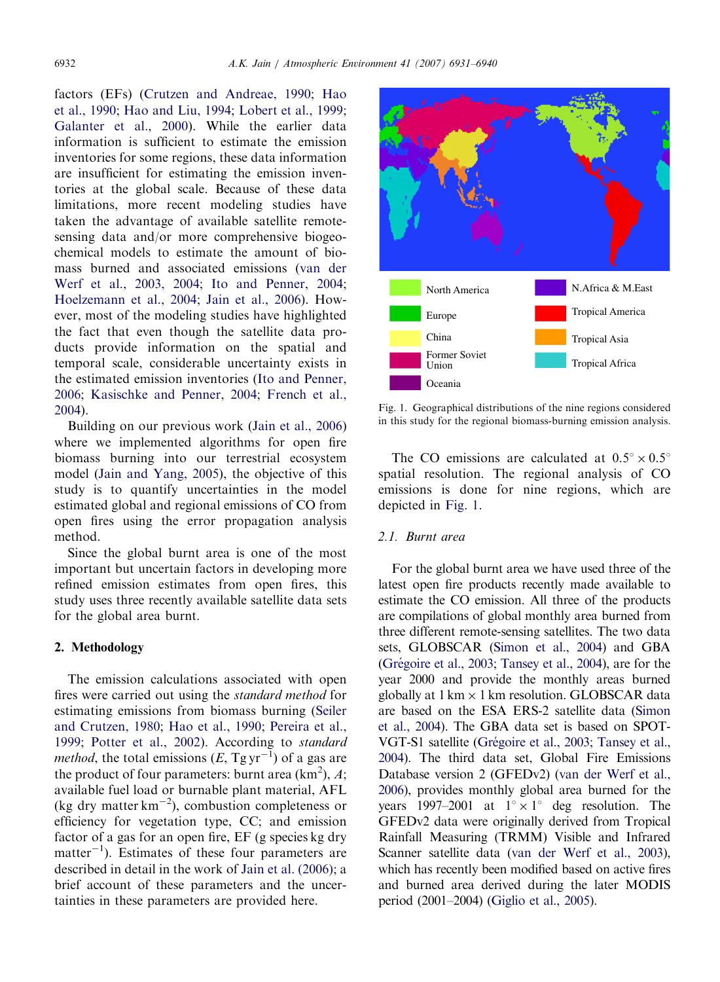factors (EFs) ([Crutzen and Andreae, 1990](#page-7-0); [Hao](#page-8-0) [et al., 1990;](#page-8-0) [Hao and Liu, 1994;](#page-8-0) [Lobert et al., 1999;](#page-8-0) [Galanter et al., 2000](#page-8-0)). While the earlier data information is sufficient to estimate the emission inventories for some regions, these data information are insufficient for estimating the emission inventories at the global scale. Because of these data limitations, more recent modeling studies have taken the advantage of available satellite remotesensing data and/or more comprehensive biogeochemical models to estimate the amount of biomass burned and associated emissions ([van der](#page-8-0) [Werf et al., 2003, 2004;](#page-8-0) [Ito and Penner, 2004;](#page-8-0) [Hoelzemann et al., 2004;](#page-8-0) [Jain et al., 2006\)](#page-8-0). However, most of the modeling studies have highlighted the fact that even though the satellite data products provide information on the spatial and temporal scale, considerable uncertainty exists in the estimated emission inventories ([Ito and Penner,](#page-8-0) [2006](#page-8-0); [Kasischke and Penner, 2004](#page-8-0); [French et al.,](#page-7-0) [2004](#page-7-0)).

Building on our previous work [\(Jain et al., 2006\)](#page-8-0) where we implemented algorithms for open fire biomass burning into our terrestrial ecosystem model ([Jain and Yang, 2005\)](#page-8-0), the objective of this study is to quantify uncertainties in the model estimated global and regional emissions of CO from open fires using the error propagation analysis method.

Since the global burnt area is one of the most important but uncertain factors in developing more refined emission estimates from open fires, this study uses three recently available satellite data sets for the global area burnt.

## 2. Methodology

The emission calculations associated with open fires were carried out using the standard method for estimating emissions from biomass burning ([Seiler](#page-8-0) [and Crutzen, 1980](#page-8-0); [Hao et al., 1990;](#page-8-0) [Pereira et al.,](#page-8-0) [1999](#page-8-0); [Potter et al., 2002\)](#page-8-0). According to standard *method*, the total emissions  $(E, Tgyr^{-1})$  of a gas are the product of four parameters: burnt area  $(km^2)$ , A; available fuel load or burnable plant material, AFL (kg dry matter  $km^{-2}$ ), combustion completeness or efficiency for vegetation type, CC; and emission factor of a gas for an open fire, EF (g species kg dry matter<sup>-1</sup>). Estimates of these four parameters are described in detail in the work of [Jain et al. \(2006\)](#page-8-0); a brief account of these parameters and the uncertainties in these parameters are provided here.



Fig. 1. Geographical distributions of the nine regions considered in this study for the regional biomass-burning emission analysis.

The CO emissions are calculated at  $0.5^{\circ} \times 0.5^{\circ}$ spatial resolution. The regional analysis of CO emissions is done for nine regions, which are depicted in Fig. 1.

# 2.1. Burnt area

For the global burnt area we have used three of the latest open fire products recently made available to estimate the CO emission. All three of the products are compilations of global monthly area burned from three different remote-sensing satellites. The two data sets, GLOBSCAR [\(Simon et al., 2004](#page-8-0)) and GBA (Grégoire et al., 2003; [Tansey et al., 2004](#page-8-0)), are for the year 2000 and provide the monthly areas burned globally at  $1 \text{ km} \times 1 \text{ km}$  resolution. GLOBSCAR data are based on the ESA ERS-2 satellite data ([Simon](#page-8-0) [et al., 2004](#page-8-0)). The GBA data set is based on SPOT-VGT-S1 satellite (Grégoire et al., 2003; [Tansey et al.,](#page-8-0) [2004](#page-8-0)). The third data set, Global Fire Emissions Database version 2 (GFEDv2) [\(van der Werf et al.,](#page-8-0) [2006](#page-8-0)), provides monthly global area burned for the years 1997–2001 at  $1^{\circ} \times 1^{\circ}$  deg resolution. The GFEDv2 data were originally derived from Tropical Rainfall Measuring (TRMM) Visible and Infrared Scanner satellite data [\(van der Werf et al., 2003\)](#page-8-0), which has recently been modified based on active fires and burned area derived during the later MODIS period (2001–2004) ([Giglio et al., 2005](#page-8-0)).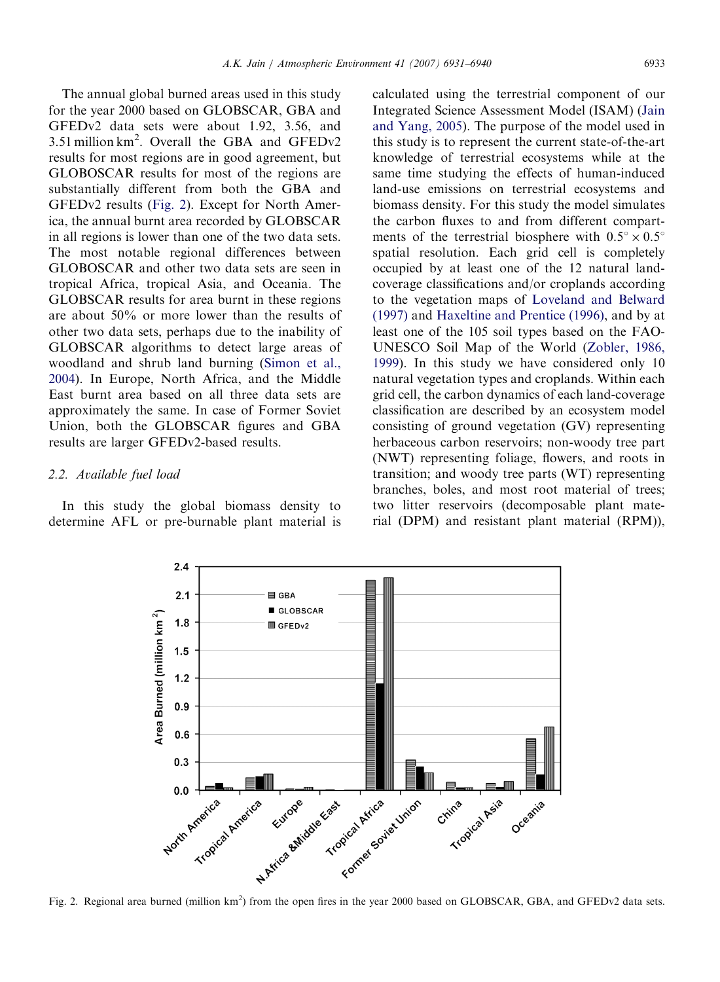<span id="page-2-0"></span>The annual global burned areas used in this study for the year 2000 based on GLOBSCAR, GBA and GFEDv2 data sets were about 1.92, 3.56, and 3.51 million  $km^2$ . Overall the GBA and GFEDv2 results for most regions are in good agreement, but GLOBOSCAR results for most of the regions are substantially different from both the GBA and GFEDv2 results (Fig. 2). Except for North America, the annual burnt area recorded by GLOBSCAR in all regions is lower than one of the two data sets. The most notable regional differences between GLOBOSCAR and other two data sets are seen in tropical Africa, tropical Asia, and Oceania. The GLOBSCAR results for area burnt in these regions are about 50% or more lower than the results of other two data sets, perhaps due to the inability of GLOBSCAR algorithms to detect large areas of woodland and shrub land burning ([Simon et al.,](#page-8-0) [2004\)](#page-8-0). In Europe, North Africa, and the Middle East burnt area based on all three data sets are approximately the same. In case of Former Soviet Union, both the GLOBSCAR figures and GBA results are larger GFEDv2-based results.

## 2.2. Available fuel load

In this study the global biomass density to determine AFL or pre-burnable plant material is calculated using the terrestrial component of our Integrated Science Assessment Model (ISAM) ([Jain](#page-8-0) [and Yang, 2005\)](#page-8-0). The purpose of the model used in this study is to represent the current state-of-the-art knowledge of terrestrial ecosystems while at the same time studying the effects of human-induced land-use emissions on terrestrial ecosystems and biomass density. For this study the model simulates the carbon fluxes to and from different compartments of the terrestrial biosphere with  $0.5^{\circ} \times 0.5^{\circ}$ spatial resolution. Each grid cell is completely occupied by at least one of the 12 natural landcoverage classifications and/or croplands according to the vegetation maps of [Loveland and Belward](#page-8-0) [\(1997\)](#page-8-0) and [Haxeltine and Prentice \(1996\)](#page-8-0), and by at least one of the 105 soil types based on the FAO-UNESCO Soil Map of the World [\(Zobler, 1986,](#page-9-0) [1999\)](#page-9-0). In this study we have considered only 10 natural vegetation types and croplands. Within each grid cell, the carbon dynamics of each land-coverage classification are described by an ecosystem model consisting of ground vegetation (GV) representing herbaceous carbon reservoirs; non-woody tree part (NWT) representing foliage, flowers, and roots in transition; and woody tree parts (WT) representing branches, boles, and most root material of trees; two litter reservoirs (decomposable plant material (DPM) and resistant plant material (RPM)),



Fig. 2. Regional area burned (million km<sup>2</sup>) from the open fires in the year 2000 based on GLOBSCAR, GBA, and GFEDv2 data sets.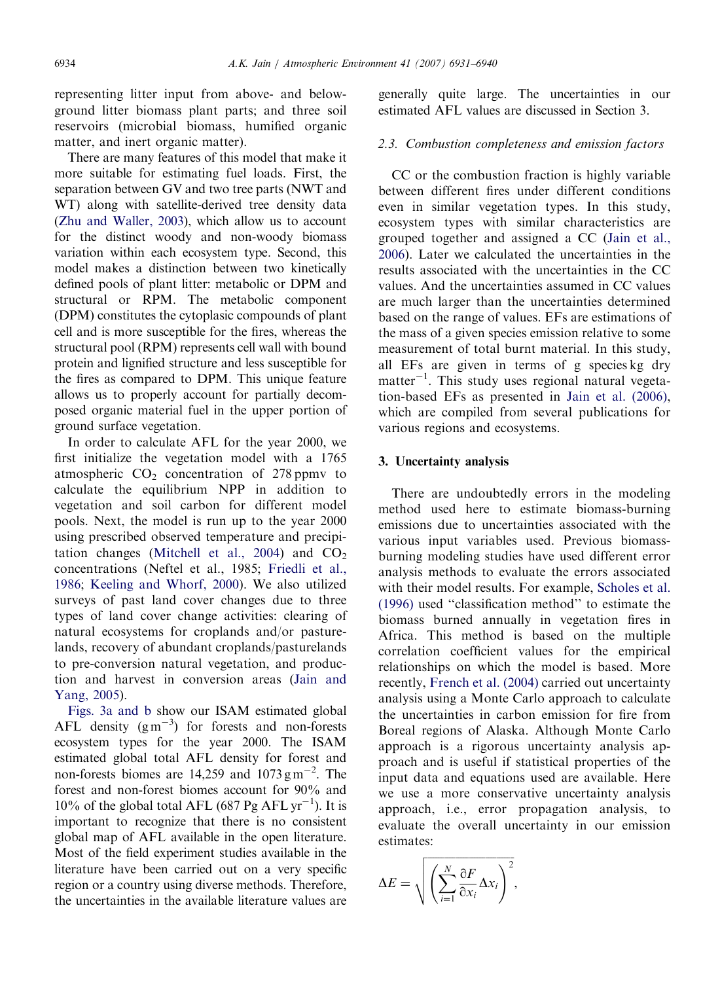representing litter input from above- and belowground litter biomass plant parts; and three soil reservoirs (microbial biomass, humified organic matter, and inert organic matter).

There are many features of this model that make it more suitable for estimating fuel loads. First, the separation between GV and two tree parts (NWT and WT) along with satellite-derived tree density data [\(Zhu and Waller, 2003\)](#page-9-0), which allow us to account for the distinct woody and non-woody biomass variation within each ecosystem type. Second, this model makes a distinction between two kinetically defined pools of plant litter: metabolic or DPM and structural or RPM. The metabolic component (DPM) constitutes the cytoplasic compounds of plant cell and is more susceptible for the fires, whereas the structural pool (RPM) represents cell wall with bound protein and lignified structure and less susceptible for the fires as compared to DPM. This unique feature allows us to properly account for partially decomposed organic material fuel in the upper portion of ground surface vegetation.

In order to calculate AFL for the year 2000, we first initialize the vegetation model with a 1765 atmospheric  $CO<sub>2</sub>$  concentration of 278 ppmv to calculate the equilibrium NPP in addition to vegetation and soil carbon for different model pools. Next, the model is run up to the year 2000 using prescribed observed temperature and precipi-tation changes [\(Mitchell et al., 2004\)](#page-8-0) and  $CO<sub>2</sub>$ concentrations (Neftel et al., 1985; [Friedli et al.,](#page-8-0) [1986](#page-8-0); [Keeling and Whorf, 2000\)](#page-8-0). We also utilized surveys of past land cover changes due to three types of land cover change activities: clearing of natural ecosystems for croplands and/or pasturelands, recovery of abundant croplands/pasturelands to pre-conversion natural vegetation, and production and harvest in conversion areas [\(Jain and](#page-8-0) [Yang, 2005](#page-8-0)).

[Figs. 3a and b](#page-4-0) show our ISAM estimated global AFL density  $(g m^{-3})$  for forests and non-forests ecosystem types for the year 2000. The ISAM estimated global total AFL density for forest and non-forests biomes are  $14,259$  and  $1073 \text{ g m}^{-2}$ . The forest and non-forest biomes account for 90% and 10% of the global total AFL (687 Pg AFL  $\text{yr}^{-1}$ ). It is important to recognize that there is no consistent global map of AFL available in the open literature. Most of the field experiment studies available in the literature have been carried out on a very specific region or a country using diverse methods. Therefore, the uncertainties in the available literature values are generally quite large. The uncertainties in our estimated AFL values are discussed in Section 3.

# 2.3. Combustion completeness and emission factors

CC or the combustion fraction is highly variable between different fires under different conditions even in similar vegetation types. In this study, ecosystem types with similar characteristics are grouped together and assigned a CC ([Jain et al.,](#page-8-0) [2006](#page-8-0)). Later we calculated the uncertainties in the results associated with the uncertainties in the CC values. And the uncertainties assumed in CC values are much larger than the uncertainties determined based on the range of values. EFs are estimations of the mass of a given species emission relative to some measurement of total burnt material. In this study, all EFs are given in terms of g species kg dry matter<sup>-1</sup>. This study uses regional natural vegetation-based EFs as presented in [Jain et al. \(2006\),](#page-8-0) which are compiled from several publications for various regions and ecosystems.

## 3. Uncertainty analysis

There are undoubtedly errors in the modeling method used here to estimate biomass-burning emissions due to uncertainties associated with the various input variables used. Previous biomassburning modeling studies have used different error analysis methods to evaluate the errors associated with their model results. For example, [Scholes et al.](#page-8-0) [\(1996\)](#page-8-0) used ''classification method'' to estimate the biomass burned annually in vegetation fires in Africa. This method is based on the multiple correlation coefficient values for the empirical relationships on which the model is based. More recently, [French et al. \(2004\)](#page-7-0) carried out uncertainty analysis using a Monte Carlo approach to calculate the uncertainties in carbon emission for fire from Boreal regions of Alaska. Although Monte Carlo approach is a rigorous uncertainty analysis approach and is useful if statistical properties of the input data and equations used are available. Here we use a more conservative uncertainty analysis approach, i.e., error propagation analysis, to evaluate the overall uncertainty in our emission estimates:

$$
\Delta E = \sqrt{\left(\sum_{i=1}^{N} \frac{\partial F}{\partial x_i} \Delta x_i\right)^2},
$$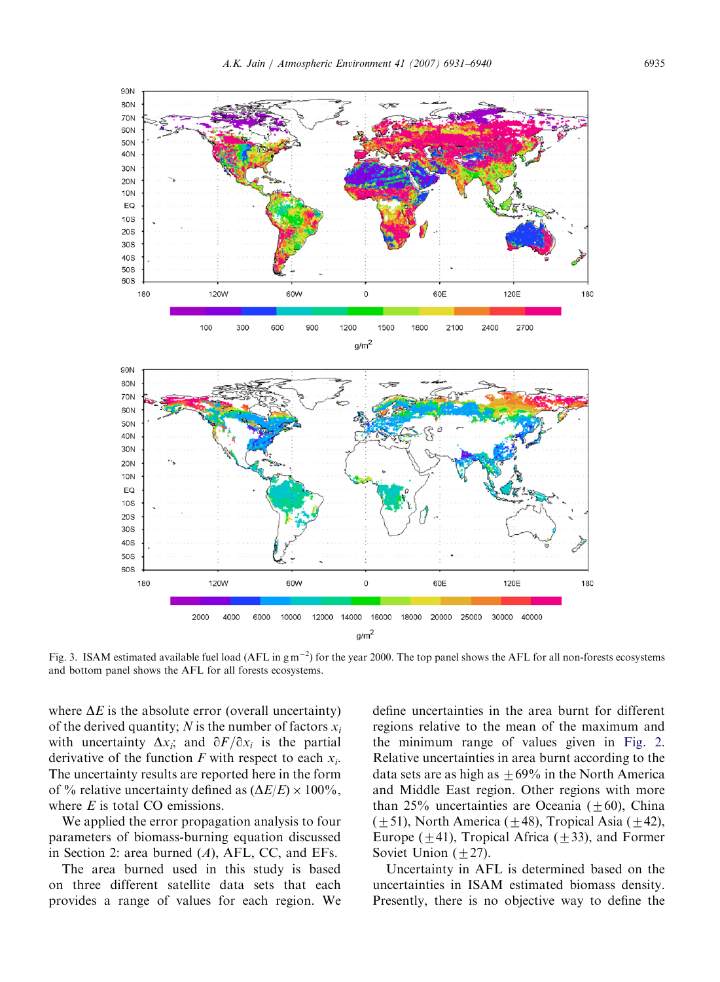



Fig. 3. ISAM estimated available fuel load (AFL in  $g m^{-2}$ ) for the year 2000. The top panel shows the AFL for all non-forests ecosystems and bottom panel shows the AFL for all forests ecosystems.

where  $\Delta E$  is the absolute error (overall uncertainty) of the derived quantity; N is the number of factors  $x_i$ with uncertainty  $\Delta x_i$ ; and  $\partial F/\partial x_i$  is the partial derivative of the function F with respect to each  $x_i$ . The uncertainty results are reported here in the form of % relative uncertainty defined as  $(\Delta E/E) \times 100\%$ , where  $E$  is total CO emissions.

120W

300

100

60W

600

<span id="page-4-0"></span>90N 80N 70N 60N 500 40<sub>N</sub> 30<sub>N</sub> **20N 10N** EQ  $10S$ **20S** 30S 40<sub>S</sub> 50S 60<sub>S</sub>

180

We applied the error propagation analysis to four parameters of biomass-burning equation discussed in Section 2: area burned  $(A)$ , AFL, CC, and EFs.

The area burned used in this study is based on three different satellite data sets that each provides a range of values for each region. We define uncertainties in the area burnt for different regions relative to the mean of the maximum and the minimum range of values given in [Fig. 2](#page-2-0). Relative uncertainties in area burnt according to the data sets are as high as  $\pm 69\%$  in the North America and Middle East region. Other regions with more than 25% uncertainties are Oceania ( $\pm$ 60), China  $(\pm 51)$ , North America ( $\pm 48$ ), Tropical Asia ( $\pm 42$ ), Europe ( $\pm$ 41), Tropical Africa ( $\pm$ 33), and Former Soviet Union  $(\pm 27)$ .

Uncertainty in AFL is determined based on the uncertainties in ISAM estimated biomass density. Presently, there is no objective way to define the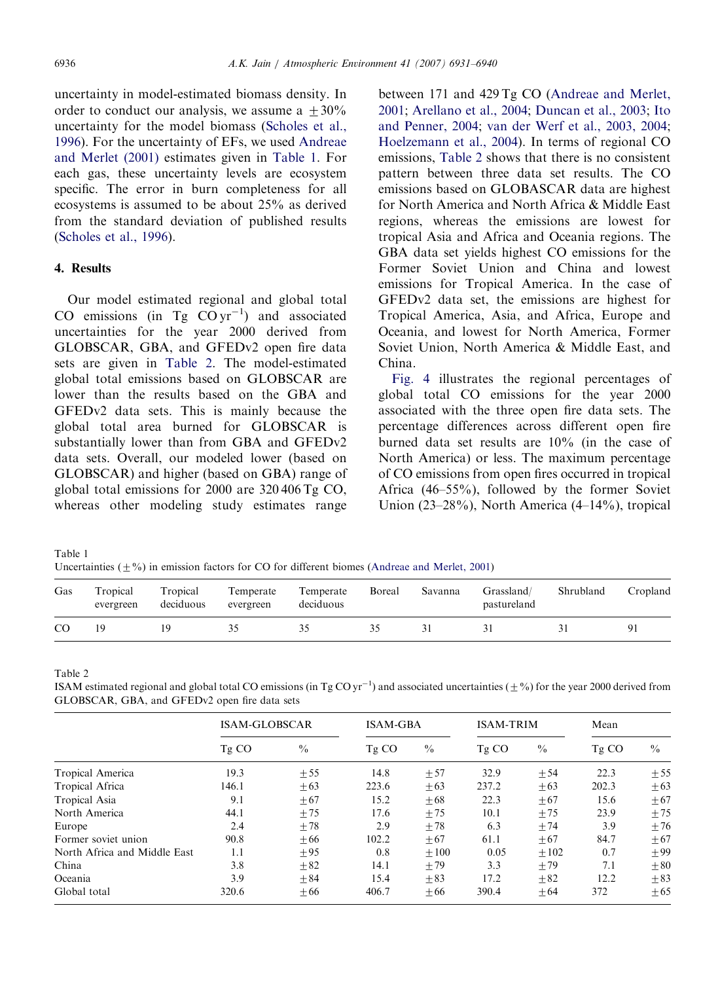uncertainty in model-estimated biomass density. In order to conduct our analysis, we assume a  $+30\%$ uncertainty for the model biomass [\(Scholes et al.,](#page-8-0) [1996](#page-8-0)). For the uncertainty of EFs, we used [Andreae](#page-7-0) [and Merlet \(2001\)](#page-7-0) estimates given in Table 1. For each gas, these uncertainty levels are ecosystem specific. The error in burn completeness for all ecosystems is assumed to be about 25% as derived from the standard deviation of published results ([Scholes et al., 1996\)](#page-8-0).

## 4. Results

Our model estimated regional and global total CO emissions (in Tg  $CO \, yr^{-1}$ ) and associated uncertainties for the year 2000 derived from GLOBSCAR, GBA, and GFEDv2 open fire data sets are given in Table 2. The model-estimated global total emissions based on GLOBSCAR are lower than the results based on the GBA and GFEDv2 data sets. This is mainly because the global total area burned for GLOBSCAR is substantially lower than from GBA and GFEDv2 data sets. Overall, our modeled lower (based on GLOBSCAR) and higher (based on GBA) range of global total emissions for 2000 are 320 406 Tg CO, whereas other modeling study estimates range between 171 and 429 Tg CO ([Andreae and Merlet,](#page-7-0) [2001](#page-7-0); [Arellano et al., 2004](#page-7-0); [Duncan et al., 2003;](#page-7-0) [Ito](#page-8-0) [and Penner, 2004;](#page-8-0) [van der Werf et al., 2003, 2004;](#page-8-0) [Hoelzemann et al., 2004\)](#page-8-0). In terms of regional CO emissions, Table 2 shows that there is no consistent pattern between three data set results. The CO emissions based on GLOBASCAR data are highest for North America and North Africa & Middle East regions, whereas the emissions are lowest for tropical Asia and Africa and Oceania regions. The GBA data set yields highest CO emissions for the Former Soviet Union and China and lowest emissions for Tropical America. In the case of GFEDv2 data set, the emissions are highest for Tropical America, Asia, and Africa, Europe and Oceania, and lowest for North America, Former Soviet Union, North America & Middle East, and China.

[Fig. 4](#page-6-0) illustrates the regional percentages of global total CO emissions for the year 2000 associated with the three open fire data sets. The percentage differences across different open fire burned data set results are 10% (in the case of North America) or less. The maximum percentage of CO emissions from open fires occurred in tropical Africa (46–55%), followed by the former Soviet Union (23–28%), North America (4–14%), tropical

Table 1 Uncertainties ( $\pm\%$ ) in emission factors for CO for different biomes ([Andreae and Merlet, 2001](#page-7-0))

| Gas | Tropical<br>evergreen | Tropical<br>deciduous | Temperate<br>evergreen | Temperate<br>deciduous | Boreal | Savanna | Grassland/<br>pastureland | Shrubland | Cropland |
|-----|-----------------------|-----------------------|------------------------|------------------------|--------|---------|---------------------------|-----------|----------|
| CO  |                       |                       |                        |                        |        |         |                           |           | Q.       |

Table 2

ISAM estimated regional and global total CO emissions (in Tg CO yr<sup>-1</sup>) and associated uncertainties ( $\pm$ %) for the year 2000 derived from GLOBSCAR, GBA, and GFEDv2 open fire data sets

|                              | <b>ISAM-GLOBSCAR</b> |               | <b>ISAM-GBA</b> |               | <b>ISAM-TRIM</b> |               | Mean  |               |
|------------------------------|----------------------|---------------|-----------------|---------------|------------------|---------------|-------|---------------|
|                              | Tg CO                | $\frac{0}{0}$ | Tg CO           | $\frac{0}{0}$ | Tg CO            | $\frac{0}{0}$ | Tg CO | $\frac{0}{0}$ |
| Tropical America             | 19.3                 | ± 55          | 14.8            | ± 57          | 32.9             | ± 54          | 22.3  | ± 55          |
| Tropical Africa              | 146.1                | $\pm 63$      | 223.6           | $\pm 63$      | 237.2            | $\pm 63$      | 202.3 | ±63           |
| Tropical Asia                | 9.1                  | $\pm 67$      | 15.2            | $\pm 68$      | 22.3             | $\pm 67$      | 15.6  | ± 67          |
| North America                | 44.1                 | ±75           | 17.6            | ±75           | 10.1             | ±75           | 23.9  | ±75           |
| Europe                       | 2.4                  | ±78           | 2.9             | ±78           | 6.3              | ±74           | 3.9   | ±76           |
| Former soviet union          | 90.8                 | $+66$         | 102.2           | $\pm 67$      | 61.1             | $+67$         | 84.7  | ±67           |
| North Africa and Middle East | 1.1                  | $+95$         | 0.8             | $+100$        | 0.05             | $+102$        | 0.7   | $+99$         |
| China                        | 3.8                  | $\pm 82$      | 14.1            | ±79           | 3.3              | ±79           | 7.1   | ±80           |
| Oceania                      | 3.9                  | $+84$         | 15.4            | $+83$         | 17.2             | $+82$         | 12.2  | ±83           |
| Global total                 | 320.6                | $+66$         | 406.7           | $\pm 66$      | 390.4            | $+64$         | 372   | ±65           |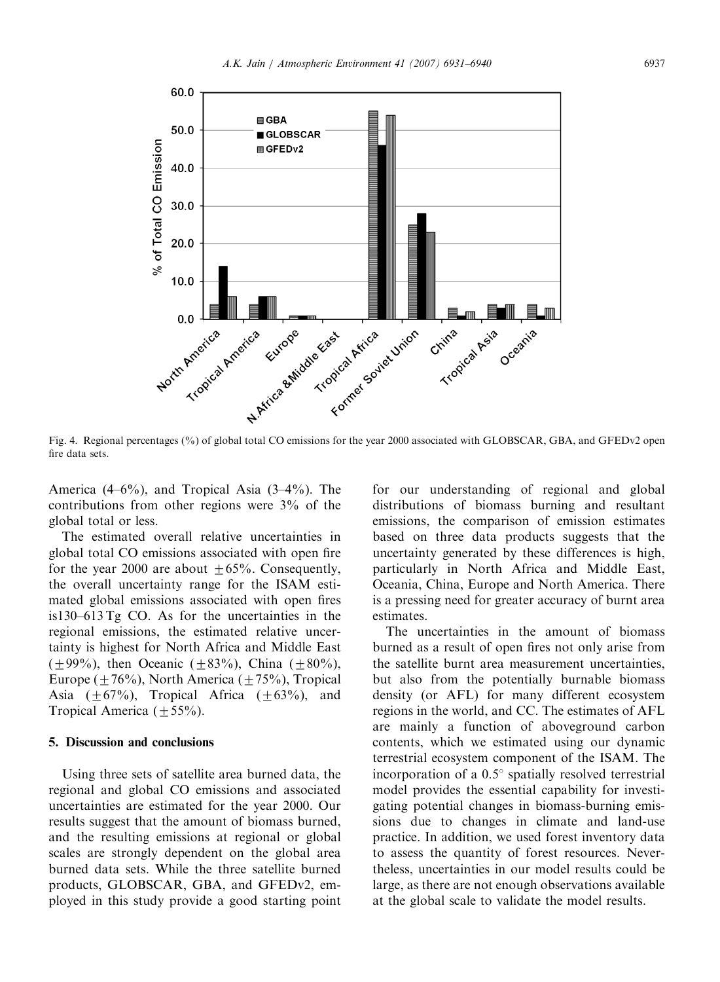<span id="page-6-0"></span>

Fig. 4. Regional percentages (%) of global total CO emissions for the year 2000 associated with GLOBSCAR, GBA, and GFEDv2 open fire data sets.

America (4–6%), and Tropical Asia (3–4%). The contributions from other regions were 3% of the global total or less.

The estimated overall relative uncertainties in global total CO emissions associated with open fire for the year 2000 are about  $+65%$ . Consequently, the overall uncertainty range for the ISAM estimated global emissions associated with open fires is130–613 Tg CO. As for the uncertainties in the regional emissions, the estimated relative uncertainty is highest for North Africa and Middle East  $(+99\%)$ , then Oceanic  $(+83\%)$ , China  $(+80\%)$ , Europe ( $\pm$  76%), North America ( $\pm$  75%), Tropical Asia  $(\pm 67\%)$ , Tropical Africa  $(\pm 63\%)$ , and Tropical America ( $\pm$  55%).

## 5. Discussion and conclusions

Using three sets of satellite area burned data, the regional and global CO emissions and associated uncertainties are estimated for the year 2000. Our results suggest that the amount of biomass burned, and the resulting emissions at regional or global scales are strongly dependent on the global area burned data sets. While the three satellite burned products, GLOBSCAR, GBA, and GFEDv2, employed in this study provide a good starting point

for our understanding of regional and global distributions of biomass burning and resultant emissions, the comparison of emission estimates based on three data products suggests that the uncertainty generated by these differences is high, particularly in North Africa and Middle East, Oceania, China, Europe and North America. There is a pressing need for greater accuracy of burnt area estimates.

The uncertainties in the amount of biomass burned as a result of open fires not only arise from the satellite burnt area measurement uncertainties, but also from the potentially burnable biomass density (or AFL) for many different ecosystem regions in the world, and CC. The estimates of AFL are mainly a function of aboveground carbon contents, which we estimated using our dynamic terrestrial ecosystem component of the ISAM. The incorporation of a  $0.5^{\circ}$  spatially resolved terrestrial model provides the essential capability for investigating potential changes in biomass-burning emissions due to changes in climate and land-use practice. In addition, we used forest inventory data to assess the quantity of forest resources. Nevertheless, uncertainties in our model results could be large, as there are not enough observations available at the global scale to validate the model results.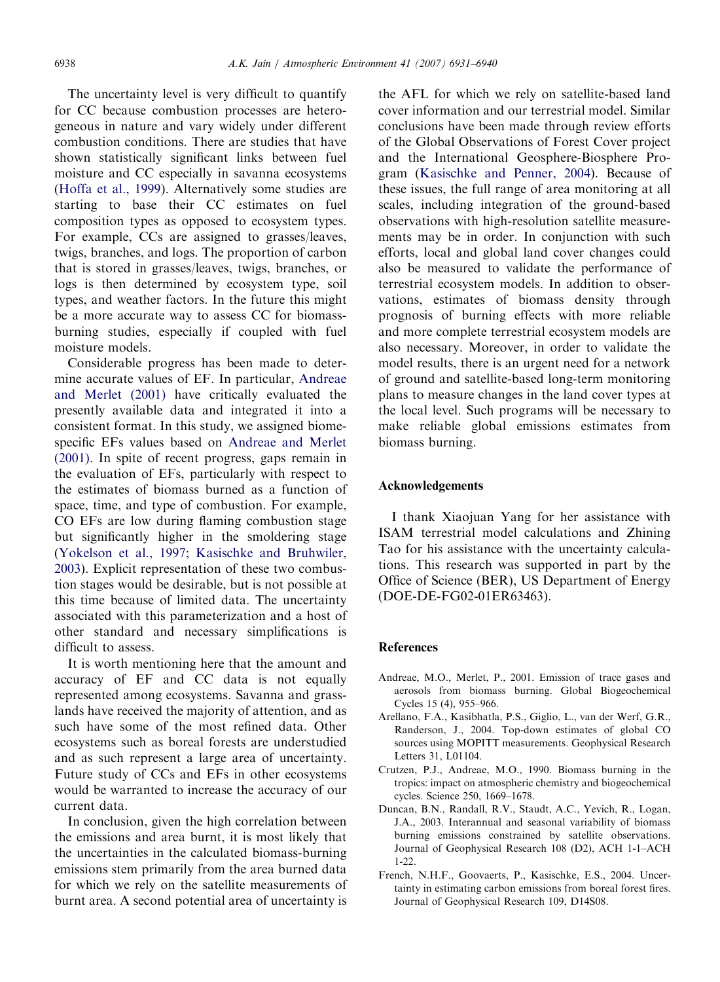<span id="page-7-0"></span>The uncertainty level is very difficult to quantify for CC because combustion processes are heterogeneous in nature and vary widely under different combustion conditions. There are studies that have shown statistically significant links between fuel moisture and CC especially in savanna ecosystems ([Hoffa et al., 1999\)](#page-8-0). Alternatively some studies are starting to base their CC estimates on fuel composition types as opposed to ecosystem types. For example, CCs are assigned to grasses/leaves, twigs, branches, and logs. The proportion of carbon that is stored in grasses/leaves, twigs, branches, or logs is then determined by ecosystem type, soil types, and weather factors. In the future this might be a more accurate way to assess CC for biomassburning studies, especially if coupled with fuel moisture models.

Considerable progress has been made to determine accurate values of EF. In particular, Andreae and Merlet (2001) have critically evaluated the presently available data and integrated it into a consistent format. In this study, we assigned biomespecific EFs values based on Andreae and Merlet (2001). In spite of recent progress, gaps remain in the evaluation of EFs, particularly with respect to the estimates of biomass burned as a function of space, time, and type of combustion. For example, CO EFs are low during flaming combustion stage but significantly higher in the smoldering stage ([Yokelson et al., 1997;](#page-8-0) [Kasischke and Bruhwiler,](#page-8-0) [2003](#page-8-0)). Explicit representation of these two combustion stages would be desirable, but is not possible at this time because of limited data. The uncertainty associated with this parameterization and a host of other standard and necessary simplifications is difficult to assess.

It is worth mentioning here that the amount and accuracy of EF and CC data is not equally represented among ecosystems. Savanna and grasslands have received the majority of attention, and as such have some of the most refined data. Other ecosystems such as boreal forests are understudied and as such represent a large area of uncertainty. Future study of CCs and EFs in other ecosystems would be warranted to increase the accuracy of our current data.

In conclusion, given the high correlation between the emissions and area burnt, it is most likely that the uncertainties in the calculated biomass-burning emissions stem primarily from the area burned data for which we rely on the satellite measurements of burnt area. A second potential area of uncertainty is

the AFL for which we rely on satellite-based land cover information and our terrestrial model. Similar conclusions have been made through review efforts of the Global Observations of Forest Cover project and the International Geosphere-Biosphere Program [\(Kasischke and Penner, 2004\)](#page-8-0). Because of these issues, the full range of area monitoring at all scales, including integration of the ground-based observations with high-resolution satellite measurements may be in order. In conjunction with such efforts, local and global land cover changes could also be measured to validate the performance of terrestrial ecosystem models. In addition to observations, estimates of biomass density through prognosis of burning effects with more reliable and more complete terrestrial ecosystem models are also necessary. Moreover, in order to validate the model results, there is an urgent need for a network of ground and satellite-based long-term monitoring plans to measure changes in the land cover types at the local level. Such programs will be necessary to make reliable global emissions estimates from biomass burning.

## Acknowledgements

I thank Xiaojuan Yang for her assistance with ISAM terrestrial model calculations and Zhining Tao for his assistance with the uncertainty calculations. This research was supported in part by the Office of Science (BER), US Department of Energy (DOE-DE-FG02-01ER63463).

#### References

- Andreae, M.O., Merlet, P., 2001. Emission of trace gases and aerosols from biomass burning. Global Biogeochemical Cycles 15 (4), 955–966.
- Arellano, F.A., Kasibhatla, P.S., Giglio, L., van der Werf, G.R., Randerson, J., 2004. Top-down estimates of global CO sources using MOPITT measurements. Geophysical Research Letters 31, L01104.
- Crutzen, P.J., Andreae, M.O., 1990. Biomass burning in the tropics: impact on atmospheric chemistry and biogeochemical cycles. Science 250, 1669–1678.
- Duncan, B.N., Randall, R.V., Staudt, A.C., Yevich, R., Logan, J.A., 2003. Interannual and seasonal variability of biomass burning emissions constrained by satellite observations. Journal of Geophysical Research 108 (D2), ACH 1-1–ACH 1-22.
- French, N.H.F., Goovaerts, P., Kasischke, E.S., 2004. Uncertainty in estimating carbon emissions from boreal forest fires. Journal of Geophysical Research 109, D14S08.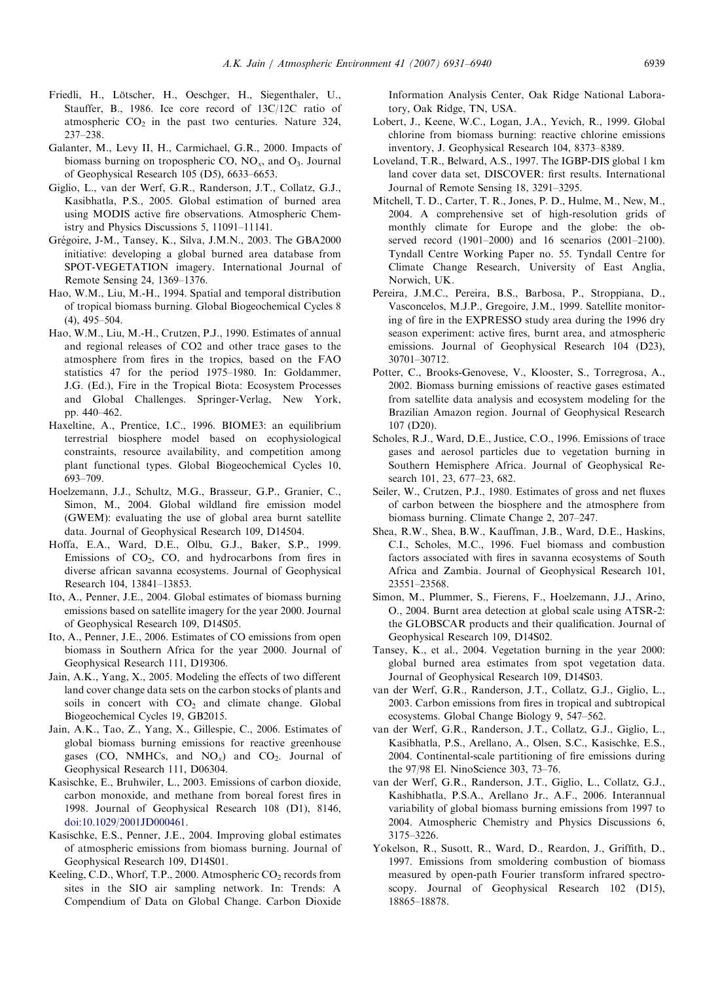- <span id="page-8-0"></span>Friedli, H., Lötscher, H., Oeschger, H., Siegenthaler, U., Stauffer, B., 1986. Ice core record of 13C/12C ratio of atmospheric  $CO<sub>2</sub>$  in the past two centuries. Nature 324, 237–238.
- Galanter, M., Levy II, H., Carmichael, G.R., 2000. Impacts of biomass burning on tropospheric CO,  $NO<sub>x</sub>$ , and  $O<sub>3</sub>$ . Journal of Geophysical Research 105 (D5), 6633–6653.
- Giglio, L., van der Werf, G.R., Randerson, J.T., Collatz, G.J., Kasibhatla, P.S., 2005. Global estimation of burned area using MODIS active fire observations. Atmospheric Chemistry and Physics Discussions 5, 11091–11141.
- Grégoire, J-M., Tansey, K., Silva, J.M.N., 2003. The GBA2000 initiative: developing a global burned area database from SPOT-VEGETATION imagery. International Journal of Remote Sensing 24, 1369–1376.
- Hao, W.M., Liu, M.-H., 1994. Spatial and temporal distribution of tropical biomass burning. Global Biogeochemical Cycles 8 (4), 495–504.
- Hao, W.M., Liu, M.-H., Crutzen, P.J., 1990. Estimates of annual and regional releases of CO2 and other trace gases to the atmosphere from fires in the tropics, based on the FAO statistics 47 for the period 1975–1980. In: Goldammer, J.G. (Ed.), Fire in the Tropical Biota: Ecosystem Processes and Global Challenges. Springer-Verlag, New York, pp. 440–462.
- Haxeltine, A., Prentice, I.C., 1996. BIOME3: an equilibrium terrestrial biosphere model based on ecophysiological constraints, resource availability, and competition among plant functional types. Global Biogeochemical Cycles 10, 693–709.
- Hoelzemann, J.J., Schultz, M.G., Brasseur, G.P., Granier, C., Simon, M., 2004. Global wildland fire emission model (GWEM): evaluating the use of global area burnt satellite data. Journal of Geophysical Research 109, D14504.
- Hoffa, E.A., Ward, D.E., Olbu, G.J., Baker, S.P., 1999. Emissions of  $CO<sub>2</sub>$ ,  $CO<sub>2</sub>$ , and hydrocarbons from fires in diverse african savanna ecosystems. Journal of Geophysical Research 104, 13841–13853.
- Ito, A., Penner, J.E., 2004. Global estimates of biomass burning emissions based on satellite imagery for the year 2000. Journal of Geophysical Research 109, D14S05.
- Ito, A., Penner, J.E., 2006. Estimates of CO emissions from open biomass in Southern Africa for the year 2000. Journal of Geophysical Research 111, D19306.
- Jain, A.K., Yang, X., 2005. Modeling the effects of two different land cover change data sets on the carbon stocks of plants and soils in concert with  $CO<sub>2</sub>$  and climate change. Global Biogeochemical Cycles 19, GB2015.
- Jain, A.K., Tao, Z., Yang, X., Gillespie, C., 2006. Estimates of global biomass burning emissions for reactive greenhouse gases (CO, NMHCs, and  $NO_x$ ) and  $CO_2$ . Journal of Geophysical Research 111, D06304.
- Kasischke, E., Bruhwiler, L., 2003. Emissions of carbon dioxide, carbon monoxide, and methane from boreal forest fires in 1998. Journal of Geophysical Research 108 (D1), 8146, [doi:10.1029/2001JD000461](dx.doi.org/10.1029/2001JD000461).
- Kasischke, E.S., Penner, J.E., 2004. Improving global estimates of atmospheric emissions from biomass burning. Journal of Geophysical Research 109, D14S01.
- Keeling, C.D., Whorf, T.P., 2000. Atmospheric  $CO_2$  records from sites in the SIO air sampling network. In: Trends: A Compendium of Data on Global Change. Carbon Dioxide

Information Analysis Center, Oak Ridge National Laboratory, Oak Ridge, TN, USA.

- Lobert, J., Keene, W.C., Logan, J.A., Yevich, R., 1999. Global chlorine from biomass burning: reactive chlorine emissions inventory, J. Geophysical Research 104, 8373–8389.
- Loveland, T.R., Belward, A.S., 1997. The IGBP-DIS global 1 km land cover data set, DISCOVER: first results. International Journal of Remote Sensing 18, 3291–3295.
- Mitchell, T. D., Carter, T. R., Jones, P. D., Hulme, M., New, M., 2004. A comprehensive set of high-resolution grids of monthly climate for Europe and the globe: the observed record (1901–2000) and 16 scenarios (2001–2100). Tyndall Centre Working Paper no. 55. Tyndall Centre for Climate Change Research, University of East Anglia, Norwich, UK.
- Pereira, J.M.C., Pereira, B.S., Barbosa, P., Stroppiana, D., Vasconcelos, M.J.P., Gregoire, J.M., 1999. Satellite monitoring of fire in the EXPRESSO study area during the 1996 dry season experiment: active fires, burnt area, and atmospheric emissions. Journal of Geophysical Research 104 (D23), 30701–30712.
- Potter, C., Brooks-Genovese, V., Klooster, S., Torregrosa, A., 2002. Biomass burning emissions of reactive gases estimated from satellite data analysis and ecosystem modeling for the Brazilian Amazon region. Journal of Geophysical Research 107 (D20).
- Scholes, R.J., Ward, D.E., Justice, C.O., 1996. Emissions of trace gases and aerosol particles due to vegetation burning in Southern Hemisphere Africa. Journal of Geophysical Research 101, 23, 677–23, 682.
- Seiler, W., Crutzen, P.J., 1980. Estimates of gross and net fluxes of carbon between the biosphere and the atmosphere from biomass burning. Climate Change 2, 207–247.
- Shea, R.W., Shea, B.W., Kauffman, J.B., Ward, D.E., Haskins, C.I., Scholes, M.C., 1996. Fuel biomass and combustion factors associated with fires in savanna ecosystems of South Africa and Zambia. Journal of Geophysical Research 101, 23551–23568.
- Simon, M., Plummer, S., Fierens, F., Hoelzemann, J.J., Arino, O., 2004. Burnt area detection at global scale using ATSR-2: the GLOBSCAR products and their qualification. Journal of Geophysical Research 109, D14S02.
- Tansey, K., et al., 2004. Vegetation burning in the year 2000: global burned area estimates from spot vegetation data. Journal of Geophysical Research 109, D14S03.
- van der Werf, G.R., Randerson, J.T., Collatz, G.J., Giglio, L., 2003. Carbon emissions from fires in tropical and subtropical ecosystems. Global Change Biology 9, 547–562.
- van der Werf, G.R., Randerson, J.T., Collatz, G.J., Giglio, L., Kasibhatla, P.S., Arellano, A., Olsen, S.C., Kasischke, E.S., 2004. Continental-scale partitioning of fire emissions during the 97/98 El. NinoScience 303, 73–76.
- van der Werf, G.R., Randerson, J.T., Giglio, L., Collatz, G.J., Kashibhatla, P.S.A., Arellano Jr., A.F., 2006. Interannual variability of global biomass burning emissions from 1997 to 2004. Atmospheric Chemistry and Physics Discussions 6, 3175–3226.
- Yokelson, R., Susott, R., Ward, D., Reardon, J., Griffith, D., 1997. Emissions from smoldering combustion of biomass measured by open-path Fourier transform infrared spectroscopy. Journal of Geophysical Research 102 (D15), 18865–18878.